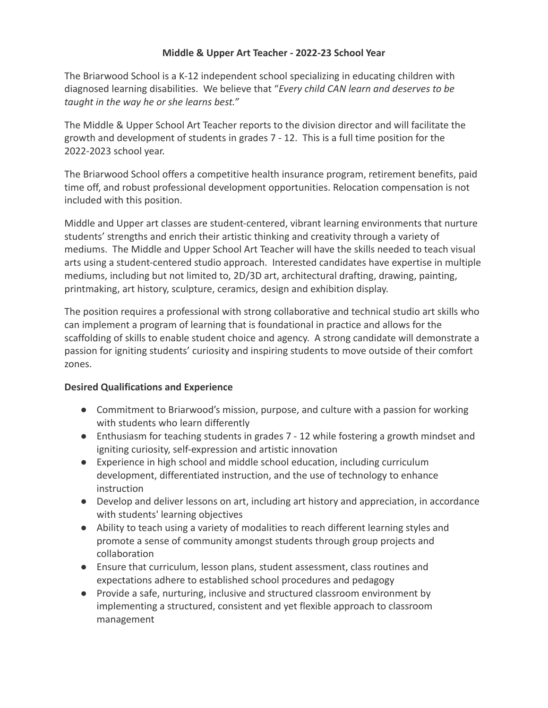## **Middle & Upper Art Teacher - 2022-23 School Year**

The Briarwood School is a K-12 independent school specializing in educating children with diagnosed learning disabilities. We believe that "*Every child CAN learn and deserves to be taught in the way he or she learns best."*

The Middle & Upper School Art Teacher reports to the division director and will facilitate the growth and development of students in grades 7 - 12. This is a full time position for the 2022-2023 school year.

The Briarwood School offers a competitive health insurance program, retirement benefits, paid time off, and robust professional development opportunities. Relocation compensation is not included with this position.

Middle and Upper art classes are student-centered, vibrant learning environments that nurture students' strengths and enrich their artistic thinking and creativity through a variety of mediums. The Middle and Upper School Art Teacher will have the skills needed to teach visual arts using a student-centered studio approach. Interested candidates have expertise in multiple mediums, including but not limited to, 2D/3D art, architectural drafting, drawing, painting, printmaking, art history, sculpture, ceramics, design and exhibition display.

The position requires a professional with strong collaborative and technical studio art skills who can implement a program of learning that is foundational in practice and allows for the scaffolding of skills to enable student choice and agency. A strong candidate will demonstrate a passion for igniting students' curiosity and inspiring students to move outside of their comfort zones.

## **Desired Qualifications and Experience**

- Commitment to Briarwood's mission, purpose, and culture with a passion for working with students who learn differently
- Enthusiasm for teaching students in grades 7 12 while fostering a growth mindset and igniting curiosity, self-expression and artistic innovation
- Experience in high school and middle school education, including curriculum development, differentiated instruction, and the use of technology to enhance instruction
- Develop and deliver lessons on art, including art history and appreciation, in accordance with students' learning objectives
- Ability to teach using a variety of modalities to reach different learning styles and promote a sense of community amongst students through group projects and collaboration
- Ensure that curriculum, lesson plans, student assessment, class routines and expectations adhere to established school procedures and pedagogy
- Provide a safe, nurturing, inclusive and structured classroom environment by implementing a structured, consistent and yet flexible approach to classroom management